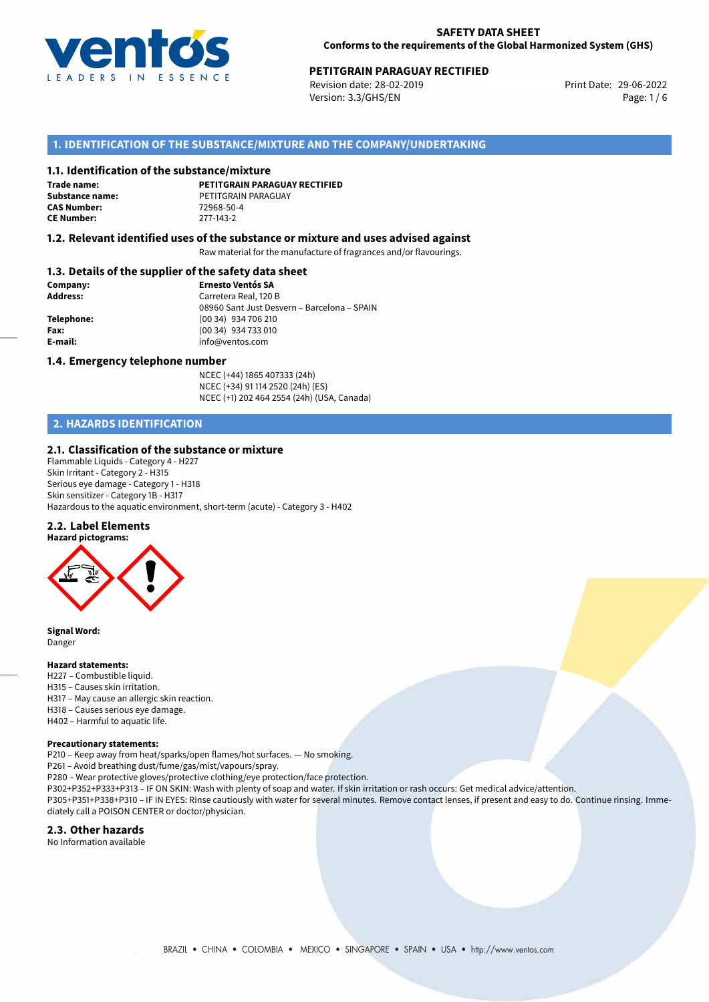

Revision date: 28-02-2019 Version: 3.3/GHS/EN Page: 1/6

# **1. IDENTIFICATION OF THE SUBSTANCE/MIXTURE AND THE COMPANY/UNDERTAKING**

#### **1.1. Identification of the substance/mixture**

**Trade name: CAS Number: CE Number:** 277-143-2

**PETITGRAIN PARAGUAY RECTIFIED Substance name:** PETITGRAIN PARAGUAY<br> **CAS Number:** 72968-50-4

#### **1.2. Relevant identified uses of the substance or mixture and uses advised against**

Raw material for the manufacture of fragrances and/or flavourings.

## **1.3. Details of the supplier of the safety data sheet**

| Company:        | <b>Ernesto Ventós SA</b>                    |  |
|-----------------|---------------------------------------------|--|
| <b>Address:</b> | Carretera Real, 120 B                       |  |
|                 | 08960 Sant Just Desvern - Barcelona - SPAIN |  |
| Telephone:      | (00 34) 934 706 210                         |  |
| Fax:            | (00 34) 934 733 010                         |  |
| E-mail:         | info@ventos.com                             |  |
|                 |                                             |  |

#### **1.4. Emergency telephone number**

NCEC (+44) 1865 407333 (24h) NCEC (+34) 91 114 2520 (24h) (ES) NCEC (+1) 202 464 2554 (24h) (USA, Canada)

# **2. HAZARDS IDENTIFICATION**

#### **2.1. Classification of the substance or mixture**

Flammable Liquids - Category 4 - H227 Skin Irritant - Category 2 - H315 Serious eye damage - Category 1 - H318 Skin sensitizer - Category 1B - H317 Hazardous to the aquatic environment, short-term (acute) - Category 3 - H402

#### **2.2. Label Elements**



**Signal Word:** Danger

#### **Hazard statements:**

- H227 Combustible liquid.
- H315 Causes skin irritation.
- H317 May cause an allergic skin reaction.
- H318 Causes serious eye damage.
- H402 Harmful to aquatic life.

#### **Precautionary statements:**

P210 – Keep away from heat/sparks/open flames/hot surfaces. — No smoking.

P261 – Avoid breathing dust/fume/gas/mist/vapours/spray.

P280 – Wear protective gloves/protective clothing/eye protection/face protection.

P302+P352+P333+P313 – IF ON SKIN: Wash with plenty of soap and water. If skin irritation or rash occurs: Get medical advice/attention.

P305+P351+P338+P310 – IF IN EYES: Rinse cautiously with water for several minutes. Remove contact lenses, if present and easy to do. Continue rinsing. Immediately call a POISON CENTER or doctor/physician.

#### **2.3. Other hazards**

No Information available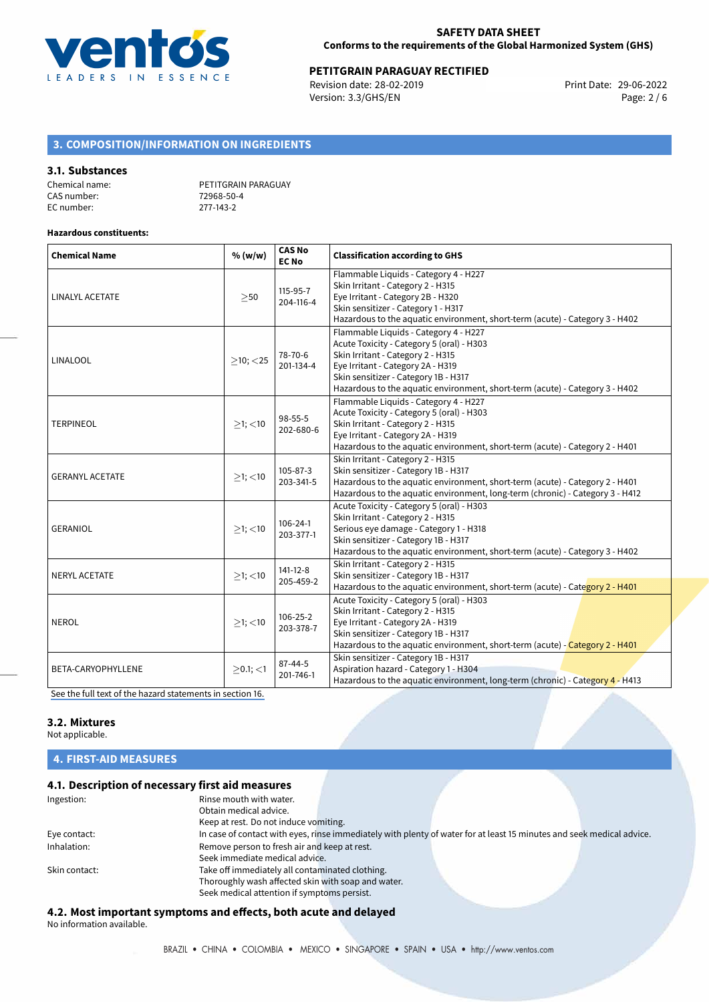

Revision date: 28-02-2019 Version: 3.3/GHS/EN Page: 2 / 6

# **3. COMPOSITION/INFORMATION ON INGREDIENTS**

#### **3.1. Substances**

| Chemical name: | PETITGRAIN PARAGUAY |
|----------------|---------------------|
| CAS number:    | 72968-50-4          |
| EC number:     | 277-143-2           |

#### **Hazardous constituents:**

| <b>Chemical Name</b>   | % (w/w)        | <b>CAS No</b><br><b>EC No</b> | <b>Classification according to GHS</b>                                                                                                                                                                                                                                               |  |
|------------------------|----------------|-------------------------------|--------------------------------------------------------------------------------------------------------------------------------------------------------------------------------------------------------------------------------------------------------------------------------------|--|
| LINALYL ACETATE        | >50            | 115-95-7<br>204-116-4         | Flammable Liquids - Category 4 - H227<br>Skin Irritant - Category 2 - H315<br>Eye Irritant - Category 2B - H320<br>Skin sensitizer - Category 1 - H317<br>Hazardous to the aquatic environment, short-term (acute) - Category 3 - H402                                               |  |
| LINALOOL               | $>10$ ; $<$ 25 | 78-70-6<br>201-134-4          | Flammable Liquids - Category 4 - H227<br>Acute Toxicity - Category 5 (oral) - H303<br>Skin Irritant - Category 2 - H315<br>Eye Irritant - Category 2A - H319<br>Skin sensitizer - Category 1B - H317<br>Hazardous to the aquatic environment, short-term (acute) - Category 3 - H402 |  |
| <b>TERPINEOL</b>       | $>1$ ; $<$ 10  | 98-55-5<br>202-680-6          | Flammable Liquids - Category 4 - H227<br>Acute Toxicity - Category 5 (oral) - H303<br>Skin Irritant - Category 2 - H315<br>Eye Irritant - Category 2A - H319<br>Hazardous to the aquatic environment, short-term (acute) - Category 2 - H401                                         |  |
| <b>GERANYL ACETATE</b> | $>1$ ; $<$ 10  | 105-87-3<br>203-341-5         | Skin Irritant - Category 2 - H315<br>Skin sensitizer - Category 1B - H317<br>Hazardous to the aquatic environment, short-term (acute) - Category 2 - H401<br>Hazardous to the aquatic environment, long-term (chronic) - Category 3 - H412                                           |  |
| <b>GERANIOL</b>        | $>1$ ; $<$ 10  | 106-24-1<br>203-377-1         | Acute Toxicity - Category 5 (oral) - H303<br>Skin Irritant - Category 2 - H315<br>Serious eye damage - Category 1 - H318<br>Skin sensitizer - Category 1B - H317<br>Hazardous to the aquatic environment, short-term (acute) - Category 3 - H402                                     |  |
| <b>NERYL ACETATE</b>   | $>1$ ; <10     | $141 - 12 - 8$<br>205-459-2   | Skin Irritant - Category 2 - H315<br>Skin sensitizer - Category 1B - H317<br>Hazardous to the aquatic environment, short-term (acute) - Category 2 - H401                                                                                                                            |  |
| <b>NEROL</b>           | $>1$ ; $<$ 10  | 106-25-2<br>203-378-7         | Acute Toxicity - Category 5 (oral) - H303<br>Skin Irritant - Category 2 - H315<br>Eye Irritant - Category 2A - H319<br>Skin sensitizer - Category 1B - H317<br>Hazardous to the aquatic environment, short-term (acute) - Category 2 - H401                                          |  |
| BETA-CARYOPHYLLENE     | $>0.1$ ; <1    | $87 - 44 - 5$<br>201-746-1    | Skin sensitizer - Category 1B - H317<br>Aspiration hazard - Category 1 - H304<br>Hazardous to the aquatic environment, long-term (chronic) - Category 4 - H413                                                                                                                       |  |

[See the full text of the hazard statements in section 16.](#page-4-0)

# **3.2. Mixtures**

Not applicable.

# **4. FIRST-AID MEASURES**

# **4.1. Description of necessary first aid measures**

| Ingestion:    | Rinse mouth with water.                                                                                               |
|---------------|-----------------------------------------------------------------------------------------------------------------------|
|               | Obtain medical advice.                                                                                                |
|               | Keep at rest. Do not induce vomiting.                                                                                 |
| Eye contact:  | In case of contact with eyes, rinse immediately with plenty of water for at least 15 minutes and seek medical advice. |
| Inhalation:   | Remove person to fresh air and keep at rest.                                                                          |
|               | Seek immediate medical advice.                                                                                        |
| Skin contact: | Take off immediately all contaminated clothing.                                                                       |
|               | Thoroughly wash affected skin with soap and water.                                                                    |
|               | Seek medical attention if symptoms persist.                                                                           |

# **4.2. Most important symptoms and effects, both acute and delayed**

No information available.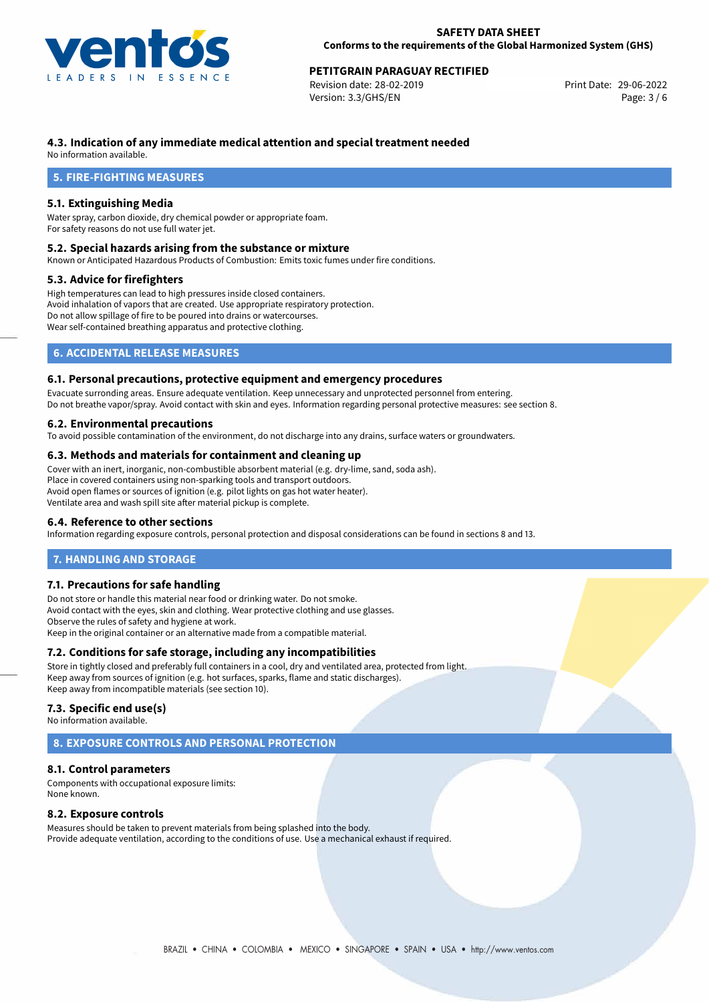

Revision date: 28-02-2019 Version: 3.3/GHS/EN Page: 3 / 6

# **4.3. Indication of any immediate medical attention and special treatment needed**

No information available.

# **5. FIRE-FIGHTING MEASURES**

# **5.1. Extinguishing Media**

Water spray, carbon dioxide, dry chemical powder or appropriate foam. For safety reasons do not use full water jet.

#### **5.2. Special hazards arising from the substance or mixture**

Known or Anticipated Hazardous Products of Combustion: Emits toxic fumes under fire conditions.

## **5.3. Advice for firefighters**

High temperatures can lead to high pressures inside closed containers. Avoid inhalation of vapors that are created. Use appropriate respiratory protection. Do not allow spillage of fire to be poured into drains or watercourses. Wear self-contained breathing apparatus and protective clothing.

# **6. ACCIDENTAL RELEASE MEASURES**

## **6.1. Personal precautions, protective equipment and emergency procedures**

Evacuate surronding areas. Ensure adequate ventilation. Keep unnecessary and unprotected personnel from entering. Do not breathe vapor/spray. Avoid contact with skin and eyes. Information regarding personal protective measures: see section 8.

## **6.2. Environmental precautions**

To avoid possible contamination of the environment, do not discharge into any drains, surface waters or groundwaters.

#### **6.3. Methods and materials for containment and cleaning up**

Cover with an inert, inorganic, non-combustible absorbent material (e.g. dry-lime, sand, soda ash). Place in covered containers using non-sparking tools and transport outdoors. Avoid open flames or sources of ignition (e.g. pilot lights on gas hot water heater). Ventilate area and wash spill site after material pickup is complete.

#### **6.4. Reference to other sections**

Information regarding exposure controls, personal protection and disposal considerations can be found in sections 8 and 13.

# **7. HANDLING AND STORAGE**

## **7.1. Precautions for safe handling**

Do not store or handle this material near food or drinking water. Do not smoke. Avoid contact with the eyes, skin and clothing. Wear protective clothing and use glasses. Observe the rules of safety and hygiene at work. Keep in the original container or an alternative made from a compatible material.

## **7.2. Conditions for safe storage, including any incompatibilities**

Store in tightly closed and preferably full containers in a cool, dry and ventilated area, protected from light. Keep away from sources of ignition (e.g. hot surfaces, sparks, flame and static discharges). Keep away from incompatible materials (see section 10).

#### **7.3. Specific end use(s)**

No information available.

# **8. EXPOSURE CONTROLS AND PERSONAL PROTECTION**

## **8.1. Control parameters**

Components with occupational exposure limits: None known.

#### **8.2. Exposure controls**

Measures should be taken to prevent materials from being splashed into the body. Provide adequate ventilation, according to the conditions of use. Use a mechanical exhaust if required.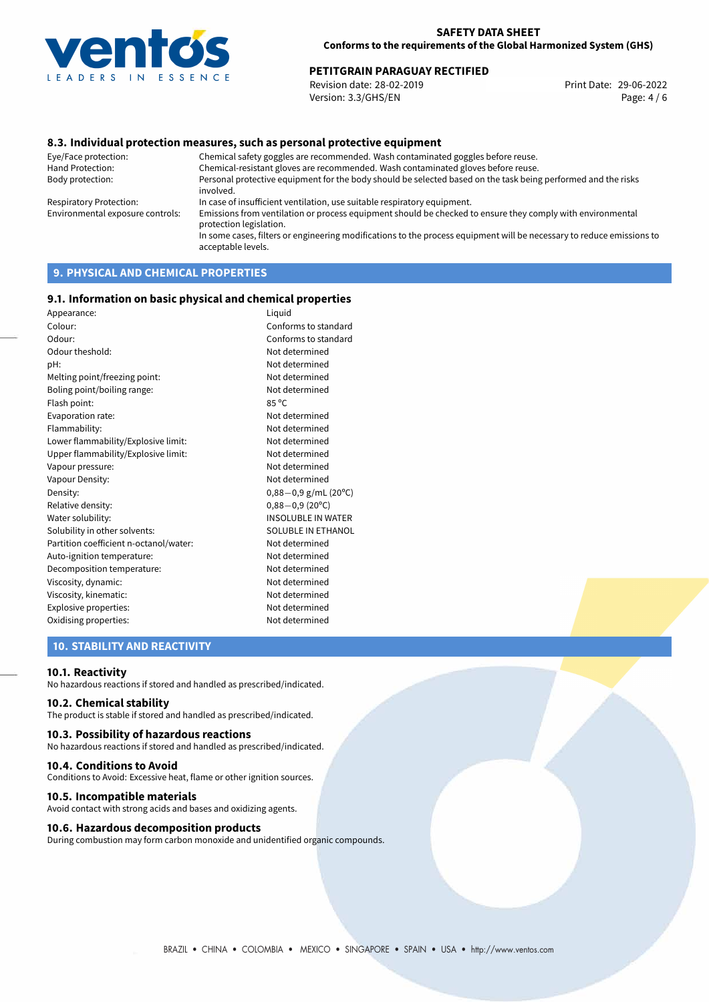

Revision date: 28-02-2019 Version: 3.3/GHS/EN Page: 4 / 6

# **8.3. Individual protection measures, such as personal protective equipment**

Eye/Face protection: Chemical safety goggles are recommended. Wash contaminated goggles before reuse. Chemical-resistant gloves are recommended. Wash contaminated gloves before reuse. Body protection: Personal protective equipment for the body should be selected based on the task being performed and the risks involved. Respiratory Protection: In case of insufficient ventilation, use suitable respiratory equipment. Environmental exposure controls: Emissions from ventilation or process equipment should be checked to ensure they comply with environmental protection legislation. In some cases, filters or engineering modifications to the process equipment will be necessary to reduce emissions to acceptable levels.

# **9. PHYSICAL AND CHEMICAL PROPERTIES**

#### **9.1. Information on basic physical and chemical properties**

| Appearance:                            | Liquid                    |
|----------------------------------------|---------------------------|
| Colour:                                | Conforms to standard      |
| Odour:                                 | Conforms to standard      |
| Odour theshold:                        | Not determined            |
| pH:                                    | Not determined            |
| Melting point/freezing point:          | Not determined            |
| Boling point/boiling range:            | Not determined            |
| Flash point:                           | $85^{\circ}$ C            |
| Evaporation rate:                      | Not determined            |
| Flammability:                          | Not determined            |
| Lower flammability/Explosive limit:    | Not determined            |
| Upper flammability/Explosive limit:    | Not determined            |
| Vapour pressure:                       | Not determined            |
| Vapour Density:                        | Not determined            |
| Density:                               | $0,88-0,9$ g/mL (20°C)    |
| Relative density:                      | $0,88 - 0,9$ (20°C)       |
| Water solubility:                      | <b>INSOLUBLE IN WATER</b> |
| Solubility in other solvents:          | SOLUBLE IN ETHANOL        |
| Partition coefficient n-octanol/water: | Not determined            |
| Auto-ignition temperature:             | Not determined            |
| Decomposition temperature:             | Not determined            |
| Viscosity, dynamic:                    | Not determined            |
| Viscosity, kinematic:                  | Not determined            |
| Explosive properties:                  | Not determined            |
| Oxidising properties:                  | Not determined            |
|                                        |                           |

# **10. STABILITY AND REACTIVITY**

#### **10.1. Reactivity**

No hazardous reactions if stored and handled as prescribed/indicated.

## **10.2. Chemical stability**

The product is stable if stored and handled as prescribed/indicated.

#### **10.3. Possibility of hazardous reactions**

No hazardous reactions if stored and handled as prescribed/indicated.

#### **10.4. Conditions to Avoid**

Conditions to Avoid: Excessive heat, flame or other ignition sources.

#### **10.5. Incompatible materials**

Avoid contact with strong acids and bases and oxidizing agents.

#### **10.6. Hazardous decomposition products**

During combustion may form carbon monoxide and unidentified organic compounds.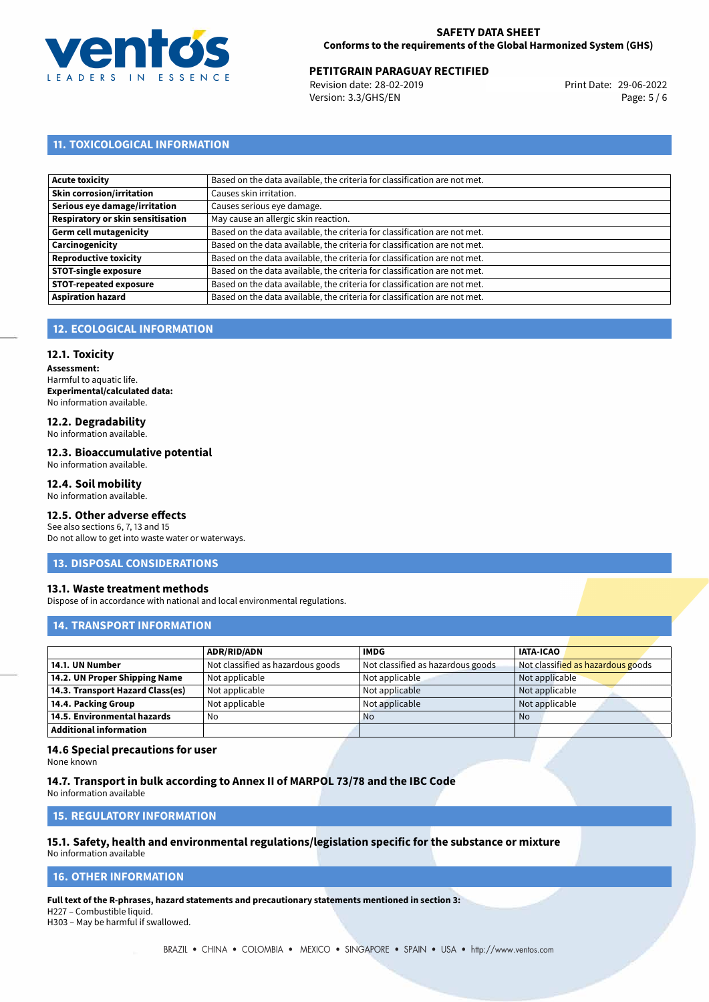

Revision date: 28-02-2019 Version: 3.3/GHS/EN Page: 5 / 6

# **11. TOXICOLOGICAL INFORMATION**

| Acute toxicity                    | Based on the data available, the criteria for classification are not met. |
|-----------------------------------|---------------------------------------------------------------------------|
| <b>Skin corrosion/irritation</b>  | Causes skin irritation.                                                   |
| Serious eye damage/irritation     | Causes serious eye damage.                                                |
| Respiratory or skin sensitisation | May cause an allergic skin reaction.                                      |
| Germ cell mutagenicity            | Based on the data available, the criteria for classification are not met. |
| <b>Carcinogenicity</b>            | Based on the data available, the criteria for classification are not met. |
| Reproductive toxicity             | Based on the data available, the criteria for classification are not met. |
| <b>STOT-single exposure</b>       | Based on the data available, the criteria for classification are not met. |
| <b>STOT-repeated exposure</b>     | Based on the data available, the criteria for classification are not met. |
| <b>Aspiration hazard</b>          | Based on the data available, the criteria for classification are not met. |

# **12. ECOLOGICAL INFORMATION**

# **12.1. Toxicity**

**Assessment:** Harmful to aquatic life. **Experimental/calculated data:** No information available.

# **12.2. Degradability**

No information available.

#### **12.3. Bioaccumulative potential**

No information available.

# **12.4. Soil mobility**

No information available.

# **12.5. Other adverse effects**

See also sections 6, 7, 13 and 15 Do not allow to get into waste water or waterways.

#### **13. DISPOSAL CONSIDERATIONS**

## **13.1. Waste treatment methods**

Dispose of in accordance with national and local environmental regulations.

## **14. TRANSPORT INFORMATION**

|                                  | <b>ADR/RID/ADN</b>                | <b>IMDG</b>                       | <b>IATA-ICAO</b>                  |
|----------------------------------|-----------------------------------|-----------------------------------|-----------------------------------|
| 14.1. UN Number                  | Not classified as hazardous goods | Not classified as hazardous goods | Not classified as hazardous goods |
| 14.2. UN Proper Shipping Name    | Not applicable                    | Not applicable                    | Not applicable                    |
| 14.3. Transport Hazard Class(es) | Not applicable                    | Not applicable                    | Not applicable                    |
| 14.4. Packing Group              | Not applicable                    | Not applicable                    | Not applicable                    |
| 14.5. Environmental hazards      | No                                | <b>No</b>                         | <b>No</b>                         |
| Additional information           |                                   |                                   |                                   |

# **14.6 Special precautions for user**

None known

## **14.7. Transport in bulk according to Annex II of MARPOL 73/78 and the IBC Code**

No information available

## **15. REGULATORY INFORMATION**

# **15.1. Safety, health and environmental regulations/legislation specific for the substance or mixture**

No information available

## <span id="page-4-0"></span>**16. OTHER INFORMATION**

**Full text of the R-phrases, hazard statements and precautionary statements mentioned in section 3:**

H227 – Combustible liquid. H303 – May be harmful if swallowed.